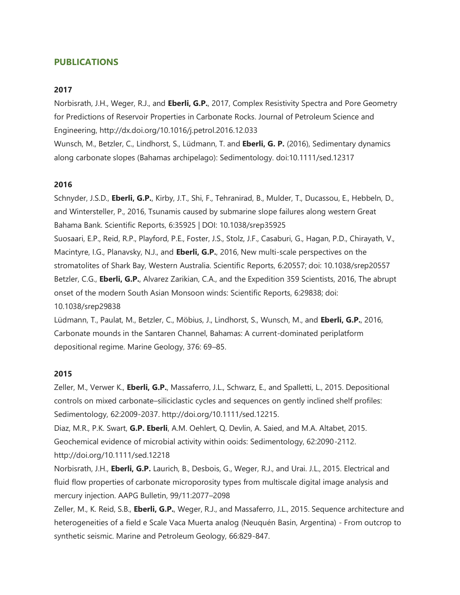# **PUBLICATIONS**

#### **2017**

Norbisrath, J.H., Weger, R.J., and **Eberli, G.P.**, 2017, Complex Resistivity Spectra and Pore Geometry for Predictions of Reservoir Properties in Carbonate Rocks. Journal of Petroleum Science and Engineering, http://dx.doi.org/10.1016/j.petrol.2016.12.033 Wunsch, M., Betzler, C., Lindhorst, S., Lüdmann, T. and **Eberli, G. P.** (2016), Sedimentary dynamics along carbonate slopes (Bahamas archipelago): Sedimentology. doi:10.1111/sed.12317

#### **2016**

Schnyder, J.S.D., **Eberli, G.P.**, Kirby, J.T., Shi, F., Tehranirad, B., Mulder, T., Ducassou, E., Hebbeln, D., and Wintersteller, P., 2016, Tsunamis caused by submarine slope failures along western Great Bahama Bank. Scientific Reports, 6:35925 | DOI: 10.1038/srep35925 Suosaari, E.P., Reid, R.P., Playford, P.E., Foster, J.S., Stolz, J.F., Casaburi, G., Hagan, P.D., Chirayath, V., Macintyre, I.G., Planavsky, N.J., and **Eberli, G.P.**, 2016, New multi-scale perspectives on the stromatolites of Shark Bay, Western Australia. Scientific Reports, 6:20557; doi: 10.1038/srep20557 Betzler, C.G., **Eberli, G.P.**, Alvarez Zarikian, C.A., and the Expedition 359 Scientists, 2016, The abrupt onset of the modern South Asian Monsoon winds: Scientific Reports, 6:29838; doi: 10.1038/srep29838

Lüdmann, T., Paulat, M., Betzler, C., Möbius, J., Lindhorst, S., Wunsch, M., and **Eberli, G.P.**, 2016, Carbonate mounds in the Santaren Channel, Bahamas: A current-dominated periplatform depositional regime. Marine Geology, 376: 69–85.

### **2015**

Zeller, M., Verwer K., **Eberli, G.P.**, Massaferro, J.L., Schwarz, E., and Spalletti, L., 2015. Depositional controls on mixed carbonate–siliciclastic cycles and sequences on gently inclined shelf profiles: Sedimentology, 62:2009-2037. http://doi.org/10.1111/sed.12215.

Diaz, M.R., P.K. Swart, **G.P. Eberli**, A.M. Oehlert, Q. Devlin, A. Saied, and M.A. Altabet, 2015. Geochemical evidence of microbial activity within ooids: Sedimentology, 62:2090-2112. http://doi.org/10.1111/sed.12218

Norbisrath, J.H., **Eberli, G.P.** Laurich, B., Desbois, G., Weger, R.J., and Urai. J.L., 2015. Electrical and fluid flow properties of carbonate microporosity types from multiscale digital image analysis and mercury injection. AAPG Bulletin, 99/11:2077–2098

Zeller, M., K. Reid, S.B., **Eberli, G.P.**, Weger, R.J., and Massaferro, J.L., 2015. Sequence architecture and heterogeneities of a field e Scale Vaca Muerta analog (Neuquén Basin, Argentina) - From outcrop to synthetic seismic. Marine and Petroleum Geology, 66:829-847.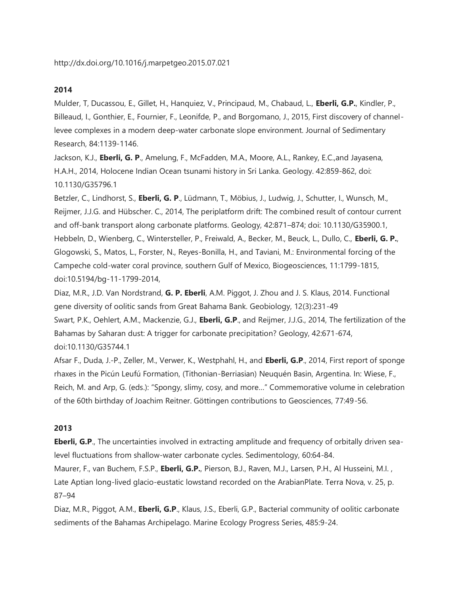Mulder, T, Ducassou, E., Gillet, H., Hanquiez, V., Principaud, M., Chabaud, L., **Eberli, G.P.**, Kindler, P., Billeaud, I., Gonthier, E., Fournier, F., Leonifde, P., and Borgomano, J., 2015, First discovery of channellevee complexes in a modern deep-water carbonate slope environment. Journal of Sedimentary Research, 84:1139-1146.

Jackson, K.J., **Eberli, G. P**., Amelung, F., McFadden, M.A., Moore, A.L., Rankey, E.C.,and Jayasena, H.A.H., 2014, Holocene Indian Ocean tsunami history in Sri Lanka. Geology. 42:859-862, doi: 10.1130/G35796.1

Betzler, C., Lindhorst, S., **Eberli, G. P**., Lüdmann, T., Möbius, J., Ludwig, J., Schutter, I., Wunsch, M., Reijmer, J.J.G. and Hübscher. C., 2014, The periplatform drift: The combined result of contour current and off-bank transport along carbonate platforms. Geology, 42:871–874; doi: 10.1130/G35900.1, Hebbeln, D., Wienberg, C., Wintersteller, P., Freiwald, A., Becker, M., Beuck, L., Dullo, C., **Eberli, G. P.**, Glogowski, S., Matos, L., Forster, N., Reyes-Bonilla, H., and Taviani, M.: Environmental forcing of the Campeche cold-water coral province, southern Gulf of Mexico, Biogeosciences, 11:1799-1815, doi:10.5194/bg-11-1799-2014,

Diaz, M.R., J.D. Van Nordstrand, **G. P. Eberli**, A.M. Piggot, J. Zhou and J. S. Klaus, 2014. Functional gene diversity of oolitic sands from Great Bahama Bank. Geobiology, 12(3):231-49

Swart, P.K., Oehlert, A.M., Mackenzie, G.J., **Eberli, G.P**., and Reijmer, J.J.G., 2014, The fertilization of the Bahamas by Saharan dust: A trigger for carbonate precipitation? Geology, 42:671-674, doi:10.1130/G35744.1

Afsar F., Duda, J.-P., Zeller, M., Verwer, K., Westphahl, H., and **Eberli, G.P**., 2014, First report of sponge rhaxes in the Picún Leufú Formation, (Tithonian-Berriasian) Neuquén Basin, Argentina. In: Wiese, F., Reich, M. and Arp, G. (eds.): "Spongy, slimy, cosy, and more…" Commemorative volume in celebration of the 60th birthday of Joachim Reitner. Göttingen contributions to Geosciences, 77:49-56.

#### **2013**

**Eberli, G.P.**, The uncertainties involved in extracting amplitude and frequency of orbitally driven sealevel fluctuations from shallow-water carbonate cycles. Sedimentology, 60:64-84.

Maurer, F., van Buchem, F.S.P., **Eberli, G.P.**, Pierson, B.J., Raven, M.J., Larsen, P.H., Al Husseini, M.I. , Late Aptian long-lived glacio-eustatic lowstand recorded on the ArabianPlate. Terra Nova, v. 25, p. 87–94

Diaz, M.R., Piggot, A.M., **Eberli, G.P**., Klaus, J.S., Eberli, G.P., Bacterial community of oolitic carbonate sediments of the Bahamas Archipelago. Marine Ecology Progress Series, 485:9-24.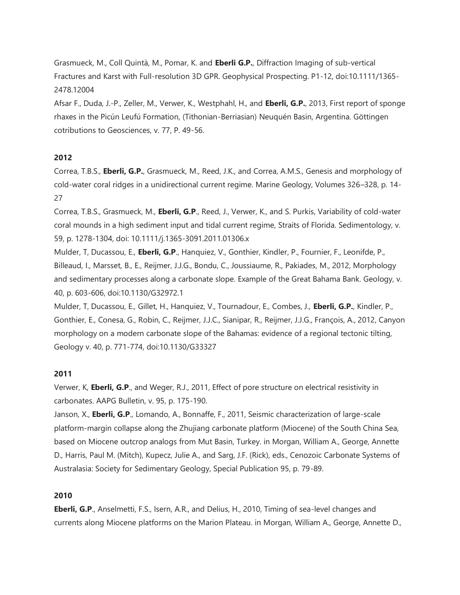Grasmueck, M., Coll Quintà, M., Pomar, K. and **Eberli G.P.**, Diffraction Imaging of sub-vertical Fractures and Karst with Full-resolution 3D GPR. Geophysical Prospecting. P1-12, doi:10.1111/1365- 2478.12004

Afsar F., Duda, J.-P., Zeller, M., Verwer, K., Westphahl, H., and **Eberli, G.P.**, 2013, First report of sponge rhaxes in the Picún Leufú Formation, (Tithonian-Berriasian) Neuquén Basin, Argentina. Göttingen cotributions to Geosciences, v. 77, P. 49-56.

# **2012**

Correa, T.B.S., **Eberli, G.P.**, Grasmueck, M., Reed, J.K., and Correa, A.M.S., Genesis and morphology of cold-water coral ridges in a unidirectional current regime. Marine Geology, Volumes 326–328, p. 14- 27

Correa, T.B.S., Grasmueck, M., **Eberli, G.P**., Reed, J., Verwer, K., and S. Purkis, Variability of cold-water coral mounds in a high sediment input and tidal current regime, Straits of Florida. Sedimentology, v. 59, p. 1278-1304, doi: 10.1111/j.1365-3091.2011.01306.x

Mulder, T, Ducassou, E., **Eberli, G.P**., Hanquiez, V., Gonthier, Kindler, P., Fournier, F., Leonifde, P., Billeaud, I., Marsset, B., E., Reijmer, J.J.G., Bondu, C., Joussiaume, R., Pakiades, M., 2012, Morphology and sedimentary processes along a carbonate slope. Example of the Great Bahama Bank. Geology, v. 40, p. 603-606, doi:10.1130/G32972.1

Mulder, T, Ducassou, E., Gillet, H., Hanquiez, V., Tournadour, E., Combes, J., **Eberli, G.P.**, Kindler, P., Gonthier, E., Conesa, G., Robin, C., Reijmer, J.J.C., Sianipar, R., Reijmer, J.J.G., François, A., 2012, Canyon morphology on a modern carbonate slope of the Bahamas: evidence of a regional tectonic tilting, Geology v. 40, p. 771-774, doi:10.1130/G33327

# **2011**

Verwer, K, **Eberli, G.P**., and Weger, R.J., 2011, Effect of pore structure on electrical resistivity in carbonates. AAPG Bulletin, v. 95, p. 175-190.

Janson, X., **Eberli, G.P**., Lomando, A., Bonnaffe, F., 2011, Seismic characterization of large-scale platform-margin collapse along the Zhujiang carbonate platform (Miocene) of the South China Sea, based on Miocene outcrop analogs from Mut Basin, Turkey. in Morgan, William A., George, Annette D., Harris, Paul M. (Mitch), Kupecz, Julie A., and Sarg, J.F. (Rick), eds., Cenozoic Carbonate Systems of Australasia: Society for Sedimentary Geology, Special Publication 95, p. 79-89.

# **2010**

**Eberli, G.P**., Anselmetti, F.S., Isern, A.R., and Delius, H., 2010, Timing of sea-level changes and currents along Miocene platforms on the Marion Plateau. in Morgan, William A., George, Annette D.,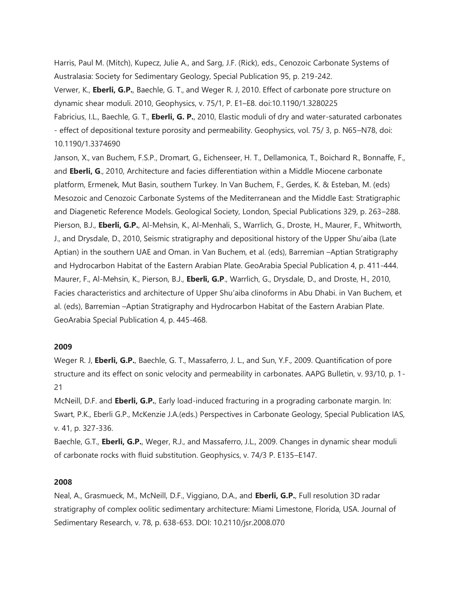Harris, Paul M. (Mitch), Kupecz, Julie A., and Sarg, J.F. (Rick), eds., Cenozoic Carbonate Systems of Australasia: Society for Sedimentary Geology, Special Publication 95, p. 219-242. Verwer, K., **Eberli, G.P.**, Baechle, G. T., and Weger R. J, 2010. Effect of carbonate pore structure on dynamic shear moduli. 2010, Geophysics, v. 75/1, P. E1–E8. doi:10.1190/1.3280225 Fabricius, I.L., Baechle, G. T., **Eberli, G. P.**, 2010, Elastic moduli of dry and water-saturated carbonates

- effect of depositional texture porosity and permeability. Geophysics, vol. 75/ 3, p. N65–N78, doi: 10.1190/1.3374690

Janson, X., van Buchem, F.S.P., Dromart, G., Eichenseer, H. T., Dellamonica, T., Boichard R., Bonnaffe, F., and **Eberli, G**., 2010, Architecture and facies differentiation within a Middle Miocene carbonate platform, Ermenek, Mut Basin, southern Turkey. In Van Buchem, F., Gerdes, K. & Esteban, M. (eds) Mesozoic and Cenozoic Carbonate Systems of the Mediterranean and the Middle East: Stratigraphic and Diagenetic Reference Models. Geological Society, London, Special Publications 329, p. 263–288. Pierson, B.J., **Eberli, G.P.**, Al-Mehsin, K., Al-Menhali, S., Warrlich, G., Droste, H., Maurer, F., Whitworth, J., and Drysdale, D., 2010, Seismic stratigraphy and depositional history of the Upper Shu'aiba (Late Aptian) in the southern UAE and Oman. in Van Buchem, et al. (eds), Barremian –Aptian Stratigraphy and Hydrocarbon Habitat of the Eastern Arabian Plate. GeoArabia Special Publication 4, p. 411-444. Maurer, F., Al-Mehsin, K., Pierson, B.J., **Eberli, G.P**., Warrlich, G., Drysdale, D., and Droste, H., 2010, Facies characteristics and architecture of Upper Shu'aiba clinoforms in Abu Dhabi. in Van Buchem, et al. (eds), Barremian –Aptian Stratigraphy and Hydrocarbon Habitat of the Eastern Arabian Plate. GeoArabia Special Publication 4, p. 445-468.

# **2009**

Weger R. J, **Eberli, G.P.**, Baechle, G. T., Massaferro, J. L., and Sun, Y.F., 2009. Quantification of pore structure and its effect on sonic velocity and permeability in carbonates. AAPG Bulletin, v. 93/10, p. 1- 21

McNeill, D.F. and **Eberli, G.P.**, Early load-induced fracturing in a prograding carbonate margin. In: Swart, P.K., Eberli G.P., McKenzie J.A.(eds.) Perspectives in Carbonate Geology, Special Publication IAS, v. 41, p. 327-336.

Baechle, G.T., **Eberli, G.P.**, Weger, R.J., and Massaferro, J.L., 2009. Changes in dynamic shear moduli of carbonate rocks with fluid substitution. Geophysics, v. 74/3 P. E135–E147.

#### **2008**

Neal, A., Grasmueck, M., McNeill, D.F., Viggiano, D.A., and **Eberli, G.P.**, Full resolution 3D radar stratigraphy of complex oolitic sedimentary architecture: Miami Limestone, Florida, USA. Journal of Sedimentary Research, v. 78, p. 638-653. DOI: 10.2110/jsr.2008.070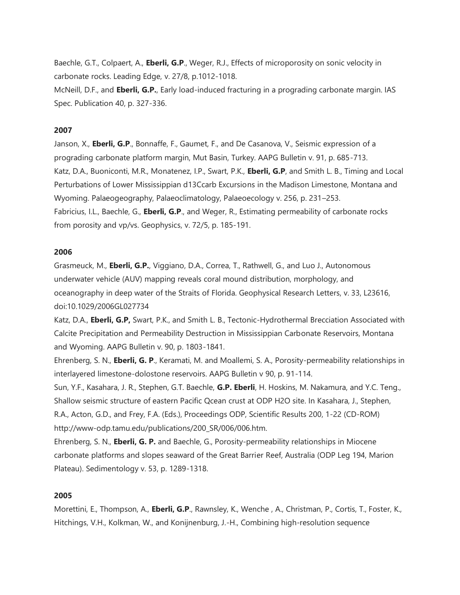Baechle, G.T., Colpaert, A., **Eberli, G.P**., Weger, R.J., Effects of microporosity on sonic velocity in carbonate rocks. Leading Edge, v. 27/8, p.1012-1018.

McNeill, D.F., and **Eberli, G.P.**, Early load-induced fracturing in a prograding carbonate margin. IAS Spec. Publication 40, p. 327-336.

# **2007**

Janson, X., **Eberli, G.P**., Bonnaffe, F., Gaumet, F., and De Casanova, V., Seismic expression of a prograding carbonate platform margin, Mut Basin, Turkey. AAPG Bulletin v. 91, p. 685-713. Katz, D.A., Buoniconti, M.R., Monatenez, I.P., Swart, P.K., **Eberli, G.P**, and Smith L. B., Timing and Local Perturbations of Lower Mississippian d13Ccarb Excursions in the Madison Limestone, Montana and Wyoming. Palaeogeography, Palaeoclimatology, Palaeoecology v. 256, p. 231–253. Fabricius, I.L., Baechle, G., **Eberli, G.P**., and Weger, R., Estimating permeability of carbonate rocks from porosity and vp/vs. Geophysics, v. 72/5, p. 185-191.

### **2006**

Grasmeuck, M., **Eberli, G.P.**, Viggiano, D.A., Correa, T., Rathwell, G., and Luo J., Autonomous underwater vehicle (AUV) mapping reveals coral mound distribution, morphology, and oceanography in deep water of the Straits of Florida. Geophysical Research Letters, v. 33, L23616, doi:10.1029/2006GL027734

Katz, D.A., **Eberli, G.P,** Swart, P.K., and Smith L. B., Tectonic-Hydrothermal Brecciation Associated with Calcite Precipitation and Permeability Destruction in Mississippian Carbonate Reservoirs, Montana and Wyoming. AAPG Bulletin v. 90, p. 1803-1841.

Ehrenberg, S. N., **Eberli, G. P**., Keramati, M. and Moallemi, S. A., Porosity-permeability relationships in interlayered limestone-dolostone reservoirs. AAPG Bulletin v 90, p. 91-114.

Sun, Y.F., Kasahara, J. R., Stephen, G.T. Baechle, **G.P. Eberli**, H. Hoskins, M. Nakamura, and Y.C. Teng., Shallow seismic structure of eastern Pacific Qcean crust at ODP H2O site. In Kasahara, J., Stephen, R.A., Acton, G.D., and Frey, F.A. (Eds.), Proceedings ODP, Scientific Results 200, 1-22 (CD-ROM) http://www-odp.tamu.edu/publications/200\_SR/006/006.htm.

Ehrenberg, S. N., **Eberli, G. P.** and Baechle, G., Porosity-permeability relationships in Miocene carbonate platforms and slopes seaward of the Great Barrier Reef, Australia (ODP Leg 194, Marion Plateau). Sedimentology v. 53, p. 1289-1318.

# **2005**

Morettini, E., Thompson, A., **Eberli, G.P**., Rawnsley, K., Wenche , A., Christman, P., Cortis, T., Foster, K., Hitchings, V.H., Kolkman, W., and Konijnenburg, J.-H., Combining high-resolution sequence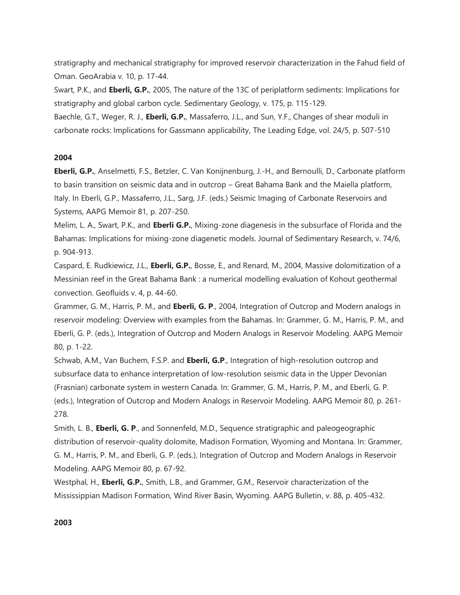stratigraphy and mechanical stratigraphy for improved reservoir characterization in the Fahud field of Oman. GeoArabia v. 10, p. 17-44.

Swart, P.K., and **Eberli, G.P.**, 2005, The nature of the 13C of periplatform sediments: Implications for stratigraphy and global carbon cycle. Sedimentary Geology, v. 175, p. 115-129.

Baechle, G.T., Weger, R. J., **Eberli, G.P.**, Massaferro, J.L., and Sun, Y.F., Changes of shear moduli in carbonate rocks: Implications for Gassmann applicability, The Leading Edge, vol. 24/5, p. 507-510

# **2004**

**Eberli, G.P.**, Anselmetti, F.S., Betzler, C. Van Konijnenburg, J.-H., and Bernoulli, D., Carbonate platform to basin transition on seismic data and in outcrop – Great Bahama Bank and the Maiella platform, Italy. In Eberli, G.P., Massaferro, J.L., Sarg, J.F. (eds.) Seismic Imaging of Carbonate Reservoirs and Systems, AAPG Memoir 81, p. 207-250.

Melim, L. A., Swart, P.K., and **Eberli G.P.**, Mixing-zone diagenesis in the subsurface of Florida and the Bahamas: Implications for mixing-zone diagenetic models. Journal of Sedimentary Research, v. 74/6, p. 904-913.

Caspard, E. Rudkiewicz, J.L., **Eberli, G.P.**, Bosse, E., and Renard, M., 2004, Massive dolomitization of a Messinian reef in the Great Bahama Bank : a numerical modelling evaluation of Kohout geothermal convection. Geofluids v. 4, p. 44-60.

Grammer, G. M., Harris, P. M., and **Eberli, G. P**., 2004, Integration of Outcrop and Modern analogs in reservoir modeling: Overview with examples from the Bahamas. In: Grammer, G. M., Harris, P. M., and Eberli, G. P. (eds.), Integration of Outcrop and Modern Analogs in Reservoir Modeling. AAPG Memoir 80, p. 1-22.

Schwab, A.M., Van Buchem, F.S.P. and **Eberli, G.P**., Integration of high-resolution outcrop and subsurface data to enhance interpretation of low-resolution seismic data in the Upper Devonian (Frasnian) carbonate system in western Canada. In: Grammer, G. M., Harris, P. M., and Eberli, G. P. (eds.), Integration of Outcrop and Modern Analogs in Reservoir Modeling. AAPG Memoir 80, p. 261- 278.

Smith, L. B., **Eberli, G. P**., and Sonnenfeld, M.D., Sequence stratigraphic and paleogeographic distribution of reservoir-quality dolomite, Madison Formation, Wyoming and Montana. In: Grammer, G. M., Harris, P. M., and Eberli, G. P. (eds.), Integration of Outcrop and Modern Analogs in Reservoir Modeling. AAPG Memoir 80, p. 67-92.

Westphal, H., **Eberli, G.P.**, Smith, L.B., and Grammer, G.M., Reservoir characterization of the Mississippian Madison Formation, Wind River Basin, Wyoming. AAPG Bulletin, v. 88, p. 405-432.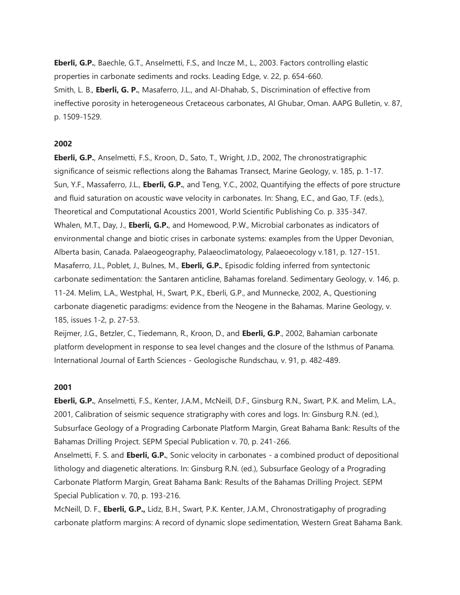**Eberli, G.P.**, Baechle, G.T., Anselmetti, F.S., and Incze M., L., 2003. Factors controlling elastic properties in carbonate sediments and rocks. Leading Edge, v. 22, p. 654-660. Smith, L. B., **Eberli, G. P.**, Masaferro, J.L., and Al-Dhahab, S., Discrimination of effective from ineffective porosity in heterogeneous Cretaceous carbonates, Al Ghubar, Oman. AAPG Bulletin, v. 87, p. 1509-1529.

#### **2002**

**Eberli, G.P.**, Anselmetti, F.S., Kroon, D., Sato, T., Wright, J.D., 2002, The chronostratigraphic significance of seismic reflections along the Bahamas Transect, Marine Geology, v. 185, p. 1-17. Sun, Y.F., Massaferro, J.L., **Eberli, G.P.**, and Teng, Y.C., 2002, Quantifying the effects of pore structure and fluid saturation on acoustic wave velocity in carbonates. In: Shang, E.C., and Gao, T.F. (eds.), Theoretical and Computational Acoustics 2001, World Scientific Publishing Co. p. 335-347. Whalen, M.T., Day, J., **Eberli, G.P.**, and Homewood, P.W., Microbial carbonates as indicators of environmental change and biotic crises in carbonate systems: examples from the Upper Devonian, Alberta basin, Canada. Palaeogeography, Palaeoclimatology, Palaeoecology v.181, p. 127-151. Masaferro, J.L., Poblet, J., Bulnes, M., **Eberli, G.P.**, Episodic folding inferred from syntectonic carbonate sedimentation: the Santaren anticline, Bahamas foreland. Sedimentary Geology, v. 146, p. 11-24. Melim, L.A., Westphal, H., Swart, P.K., Eberli, G.P., and Munnecke, 2002, A., Questioning carbonate diagenetic paradigms: evidence from the Neogene in the Bahamas. Marine Geology, v. 185, issues 1-2, p. 27-53.

Reijmer, J.G., Betzler, C., Tiedemann, R., Kroon, D., and **Eberli, G.P**., 2002, Bahamian carbonate platform development in response to sea level changes and the closure of the Isthmus of Panama. International Journal of Earth Sciences - Geologische Rundschau, v. 91, p. 482-489.

### **2001**

**Eberli, G.P.**, Anselmetti, F.S., Kenter, J.A.M., McNeill, D.F., Ginsburg R.N., Swart, P.K. and Melim, L.A., 2001, Calibration of seismic sequence stratigraphy with cores and logs. In: Ginsburg R.N. (ed.), Subsurface Geology of a Prograding Carbonate Platform Margin, Great Bahama Bank: Results of the Bahamas Drilling Project. SEPM Special Publication v. 70, p. 241-266.

Anselmetti, F. S. and **Eberli, G.P.**, Sonic velocity in carbonates - a combined product of depositional lithology and diagenetic alterations. In: Ginsburg R.N. (ed.), Subsurface Geology of a Prograding Carbonate Platform Margin, Great Bahama Bank: Results of the Bahamas Drilling Project. SEPM Special Publication v. 70, p. 193-216.

McNeill, D. F., **Eberli, G.P.,** Lidz, B.H., Swart, P.K. Kenter, J.A.M., Chronostratigaphy of prograding carbonate platform margins: A record of dynamic slope sedimentation, Western Great Bahama Bank.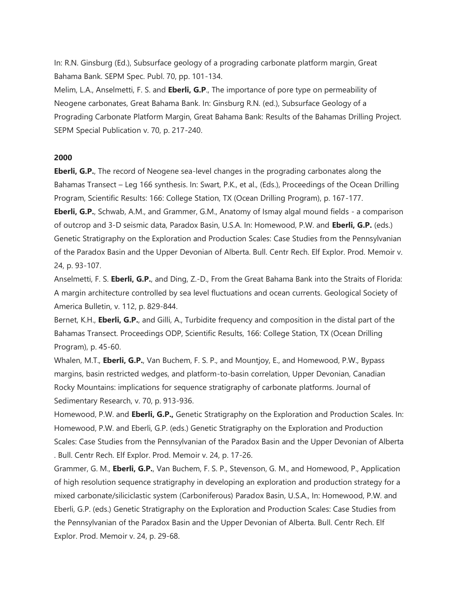In: R.N. Ginsburg (Ed.), Subsurface geology of a prograding carbonate platform margin, Great Bahama Bank. SEPM Spec. Publ. 70, pp. 101-134.

Melim, L.A., Anselmetti, F. S. and **Eberli, G.P**., The importance of pore type on permeability of Neogene carbonates, Great Bahama Bank. In: Ginsburg R.N. (ed.), Subsurface Geology of a Prograding Carbonate Platform Margin, Great Bahama Bank: Results of the Bahamas Drilling Project. SEPM Special Publication v. 70, p. 217-240.

### **2000**

**Eberli, G.P.**, The record of Neogene sea-level changes in the prograding carbonates along the Bahamas Transect – Leg 166 synthesis. In: Swart, P.K., et al., (Eds.), Proceedings of the Ocean Drilling Program, Scientific Results: 166: College Station, TX (Ocean Drilling Program), p. 167-177.

**Eberli, G.P.**, Schwab, A.M., and Grammer, G.M., Anatomy of Ismay algal mound fields - a comparison of outcrop and 3-D seismic data, Paradox Basin, U.S.A. In: Homewood, P.W. and **Eberli, G.P.** (eds.) Genetic Stratigraphy on the Exploration and Production Scales: Case Studies from the Pennsylvanian of the Paradox Basin and the Upper Devonian of Alberta. Bull. Centr Rech. Elf Explor. Prod. Memoir v. 24, p. 93-107.

Anselmetti, F. S. **Eberli, G.P.**, and Ding, Z.-D., From the Great Bahama Bank into the Straits of Florida: A margin architecture controlled by sea level fluctuations and ocean currents. Geological Society of America Bulletin, v. 112, p. 829-844.

Bernet, K.H., **Eberli, G.P.**, and Gilli, A., Turbidite frequency and composition in the distal part of the Bahamas Transect. Proceedings ODP, Scientific Results, 166: College Station, TX (Ocean Drilling Program), p. 45-60.

Whalen, M.T., **Eberli, G.P.**, Van Buchem, F. S. P., and Mountjoy, E., and Homewood, P.W., Bypass margins, basin restricted wedges, and platform-to-basin correlation, Upper Devonian, Canadian Rocky Mountains: implications for sequence stratigraphy of carbonate platforms. Journal of Sedimentary Research, v. 70, p. 913-936.

Homewood, P.W. and **Eberli, G.P.,** Genetic Stratigraphy on the Exploration and Production Scales. In: Homewood, P.W. and Eberli, G.P. (eds.) Genetic Stratigraphy on the Exploration and Production Scales: Case Studies from the Pennsylvanian of the Paradox Basin and the Upper Devonian of Alberta . Bull. Centr Rech. Elf Explor. Prod. Memoir v. 24, p. 17-26.

Grammer, G. M., **Eberli, G.P.**, Van Buchem, F. S. P., Stevenson, G. M., and Homewood, P., Application of high resolution sequence stratigraphy in developing an exploration and production strategy for a mixed carbonate/siliciclastic system (Carboniferous) Paradox Basin, U.S.A., In: Homewood, P.W. and Eberli, G.P. (eds.) Genetic Stratigraphy on the Exploration and Production Scales: Case Studies from the Pennsylvanian of the Paradox Basin and the Upper Devonian of Alberta. Bull. Centr Rech. Elf Explor. Prod. Memoir v. 24, p. 29-68.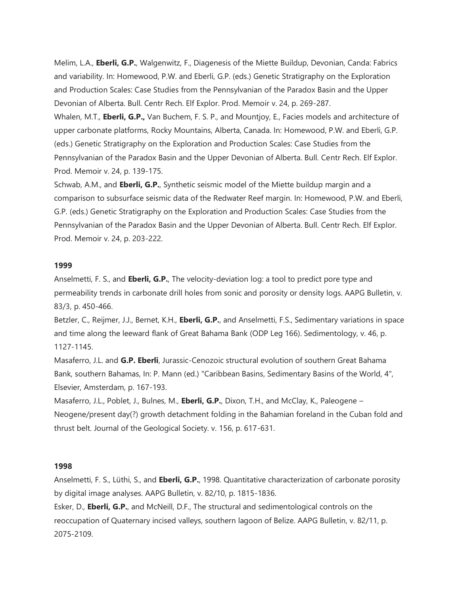Melim, L.A., **Eberli, G.P.**, Walgenwitz, F., Diagenesis of the Miette Buildup, Devonian, Canda: Fabrics and variability. In: Homewood, P.W. and Eberli, G.P. (eds.) Genetic Stratigraphy on the Exploration and Production Scales: Case Studies from the Pennsylvanian of the Paradox Basin and the Upper Devonian of Alberta. Bull. Centr Rech. Elf Explor. Prod. Memoir v. 24, p. 269-287.

Whalen, M.T., **Eberli, G.P.,** Van Buchem, F. S. P., and Mountjoy, E., Facies models and architecture of upper carbonate platforms, Rocky Mountains, Alberta, Canada. In: Homewood, P.W. and Eberli, G.P. (eds.) Genetic Stratigraphy on the Exploration and Production Scales: Case Studies from the Pennsylvanian of the Paradox Basin and the Upper Devonian of Alberta. Bull. Centr Rech. Elf Explor. Prod. Memoir v. 24, p. 139-175.

Schwab, A.M., and **Eberli, G.P.**, Synthetic seismic model of the Miette buildup margin and a comparison to subsurface seismic data of the Redwater Reef margin. In: Homewood, P.W. and Eberli, G.P. (eds.) Genetic Stratigraphy on the Exploration and Production Scales: Case Studies from the Pennsylvanian of the Paradox Basin and the Upper Devonian of Alberta. Bull. Centr Rech. Elf Explor. Prod. Memoir v. 24, p. 203-222.

### **1999**

Anselmetti, F. S., and **Eberli, G.P.**, The velocity-deviation log: a tool to predict pore type and permeability trends in carbonate drill holes from sonic and porosity or density logs. AAPG Bulletin, v. 83/3, p. 450-466.

Betzler, C., Reijmer, J.J., Bernet, K.H., **Eberli, G.P.**, and Anselmetti, F.S., Sedimentary variations in space and time along the leeward flank of Great Bahama Bank (ODP Leg 166). Sedimentology, v. 46, p. 1127-1145.

Masaferro, J.L. and **G.P. Eberli**, Jurassic-Cenozoic structural evolution of southern Great Bahama Bank, southern Bahamas, In: P. Mann (ed.) "Caribbean Basins, Sedimentary Basins of the World, 4", Elsevier, Amsterdam, p. 167-193.

Masaferro, J.L., Poblet, J., Bulnes, M., **Eberli, G.P.**, Dixon, T.H., and McClay, K., Paleogene – Neogene/present day(?) growth detachment folding in the Bahamian foreland in the Cuban fold and thrust belt. Journal of the Geological Society. v. 156, p. 617-631.

# **1998**

Anselmetti, F. S., Lüthi, S., and **Eberli, G.P.**, 1998. Quantitative characterization of carbonate porosity by digital image analyses. AAPG Bulletin, v. 82/10, p. 1815-1836.

Esker, D., **Eberli, G.P.**, and McNeill, D.F., The structural and sedimentological controls on the reoccupation of Quaternary incised valleys, southern lagoon of Belize. AAPG Bulletin, v. 82/11, p. 2075-2109.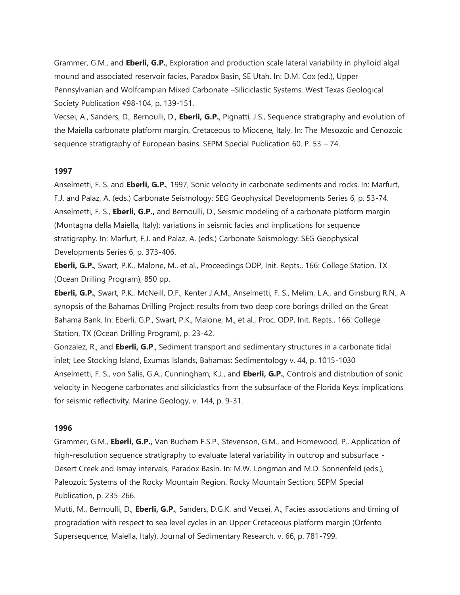Grammer, G.M., and **Eberli, G.P.**, Exploration and production scale lateral variability in phylloid algal mound and associated reservoir facies, Paradox Basin, SE Utah. In: D.M. Cox (ed.), Upper Pennsylvanian and Wolfcampian Mixed Carbonate –Siliciclastic Systems. West Texas Geological Society Publication #98-104, p. 139-151.

Vecsei, A., Sanders, D., Bernoulli, D., **Eberli, G.P.**, Pignatti, J.S., Sequence stratigraphy and evolution of the Maiella carbonate platform margin, Cretaceous to Miocene, Italy, In: The Mesozoic and Cenozoic sequence stratigraphy of European basins. SEPM Special Publication 60. P. 53 – 74.

### **1997**

Anselmetti, F. S. and **Eberli, G.P.**, 1997, Sonic velocity in carbonate sediments and rocks. In: Marfurt, F.J. and Palaz, A. (eds.) Carbonate Seismology: SEG Geophysical Developments Series 6, p. 53-74. Anselmetti, F. S., **Eberli, G.P.,** and Bernoulli, D., Seismic modeling of a carbonate platform margin (Montagna della Maiella, Italy): variations in seismic facies and implications for sequence stratigraphy. In: Marfurt, F.J. and Palaz, A. (eds.) Carbonate Seismology: SEG Geophysical Developments Series 6, p. 373-406.

**Eberli, G.P.**, Swart, P.K., Malone, M., et al., Proceedings ODP, Init. Repts., 166: College Station, TX (Ocean Drilling Program), 850 pp.

**Eberli, G.P.**, Swart, P.K., McNeill, D.F., Kenter J.A.M., Anselmetti, F. S., Melim, L.A., and Ginsburg R.N., A synopsis of the Bahamas Drilling Project: results from two deep core borings drilled on the Great Bahama Bank. In: Eberli, G.P., Swart, P.K., Malone, M., et al., Proc. ODP, Init. Repts., 166: College Station, TX (Ocean Drilling Program), p. 23-42.

Gonzalez, R., and **Eberli, G.P**., Sediment transport and sedimentary structures in a carbonate tidal inlet; Lee Stocking Island, Exumas Islands, Bahamas: Sedimentology v. 44, p. 1015-1030 Anselmetti, F. S., von Salis, G.A., Cunningham, K.J., and **Eberli, G.P.**, Controls and distribution of sonic velocity in Neogene carbonates and siliciclastics from the subsurface of the Florida Keys: implications for seismic reflectivity. Marine Geology, v. 144, p. 9-31.

#### **1996**

Grammer, G.M., **Eberli, G.P.,** Van Buchem F.S.P., Stevenson, G.M., and Homewood, P., Application of high-resolution sequence stratigraphy to evaluate lateral variability in outcrop and subsurface - Desert Creek and Ismay intervals, Paradox Basin. In: M.W. Longman and M.D. Sonnenfeld (eds.), Paleozoic Systems of the Rocky Mountain Region. Rocky Mountain Section, SEPM Special Publication, p. 235-266.

Mutti, M., Bernoulli, D., **Eberli, G.P.**, Sanders, D.G.K. and Vecsei, A., Facies associations and timing of progradation with respect to sea level cycles in an Upper Cretaceous platform margin (Orfento Supersequence, Maiella, Italy). Journal of Sedimentary Research. v. 66, p. 781-799.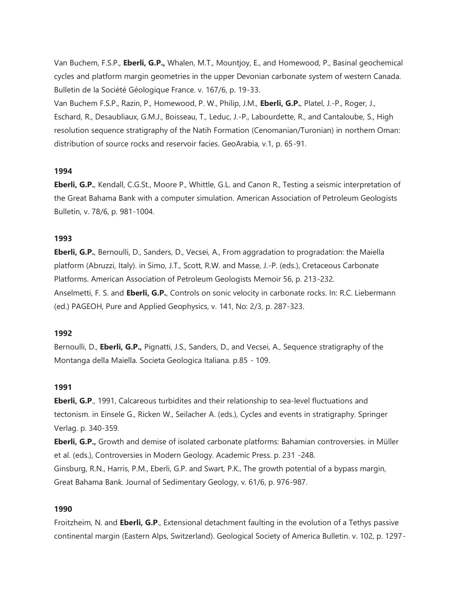Van Buchem, F.S.P., **Eberli, G.P.,** Whalen, M.T., Mountjoy, E., and Homewood, P., Basinal geochemical cycles and platform margin geometries in the upper Devonian carbonate system of western Canada. Bulletin de la Société Géologique France. v. 167/6, p. 19-33.

Van Buchem F.S.P., Razin, P., Homewood, P. W., Philip, J.M., **Eberli, G.P.**, Platel, J.-P., Roger, J., Eschard, R., Desaubliaux, G.M.J., Boisseau, T., Leduc, J.-P., Labourdette, R., and Cantaloube, S., High resolution sequence stratigraphy of the Natih Formation (Cenomanian/Turonian) in northern Oman: distribution of source rocks and reservoir facies. GeoArabia, v.1, p. 65-91.

# **1994**

**Eberli, G.P.**, Kendall, C.G.St., Moore P., Whittle, G.L. and Canon R., Testing a seismic interpretation of the Great Bahama Bank with a computer simulation. American Association of Petroleum Geologists Bulletin, v. 78/6, p. 981-1004.

### **1993**

**Eberli, G.P.**, Bernoulli, D., Sanders, D., Vecsei, A., From aggradation to progradation: the Maiella platform (Abruzzi, Italy). in Simo, J.T., Scott, R.W. and Masse, J.-P. (eds.), Cretaceous Carbonate Platforms. American Association of Petroleum Geologists Memoir 56, p. 213-232. Anselmetti, F. S. and **Eberli, G.P.**, Controls on sonic velocity in carbonate rocks. In: R.C. Liebermann (ed.) PAGEOH, Pure and Applied Geophysics, v. 141, No: 2/3, p. 287-323.

#### **1992**

Bernoulli, D., **Eberli, G.P.,** Pignatti, J.S., Sanders, D., and Vecsei, A., Sequence stratigraphy of the Montanga della Maiella. Societa Geologica Italiana. p.85 - 109.

#### **1991**

**Eberli, G.P**., 1991, Calcareous turbidites and their relationship to sea-level fluctuations and tectonism. in Einsele G., Ricken W., Seilacher A. (eds.), Cycles and events in stratigraphy. Springer Verlag. p. 340-359.

**Eberli, G.P.,** Growth and demise of isolated carbonate platforms: Bahamian controversies. in Müller et al. (eds.), Controversies in Modern Geology. Academic Press. p. 231 -248.

Ginsburg, R.N., Harris, P.M., Eberli, G.P. and Swart, P.K., The growth potential of a bypass margin, Great Bahama Bank. Journal of Sedimentary Geology, v. 61/6, p. 976-987.

# **1990**

Froitzheim, N. and **Eberli, G.P**., Extensional detachment faulting in the evolution of a Tethys passive continental margin (Eastern Alps, Switzerland). Geological Society of America Bulletin. v. 102, p. 1297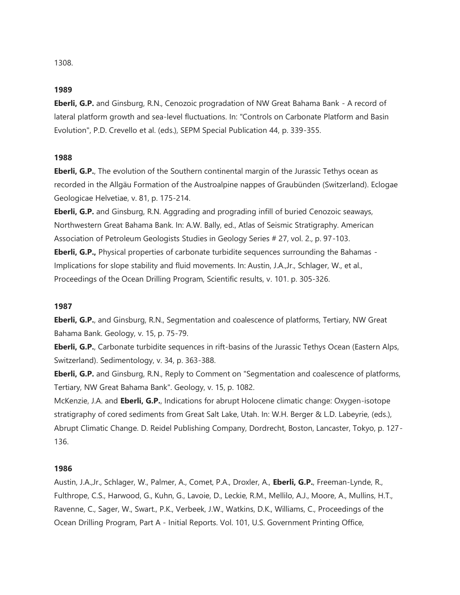1308.

#### **1989**

**Eberli, G.P.** and Ginsburg, R.N., Cenozoic progradation of NW Great Bahama Bank - A record of lateral platform growth and sea-level fluctuations. In: "Controls on Carbonate Platform and Basin Evolution", P.D. Crevello et al. (eds.), SEPM Special Publication 44, p. 339-355.

### **1988**

**Eberli, G.P.**, The evolution of the Southern continental margin of the Jurassic Tethys ocean as recorded in the Allgäu Formation of the Austroalpine nappes of Graubünden (Switzerland). Eclogae Geologicae Helvetiae, v. 81, p. 175-214.

**Eberli, G.P.** and Ginsburg, R.N. Aggrading and prograding infill of buried Cenozoic seaways, Northwestern Great Bahama Bank. In: A.W. Bally, ed., Atlas of Seismic Stratigraphy. American Association of Petroleum Geologists Studies in Geology Series # 27, vol. 2., p. 97-103.

**Eberli, G.P.,** Physical properties of carbonate turbidite sequences surrounding the Bahamas - Implications for slope stability and fluid movements. In: Austin, J.A.,Jr., Schlager, W., et al., Proceedings of the Ocean Drilling Program, Scientific results, v. 101. p. 305-326.

### **1987**

**Eberli, G.P.**, and Ginsburg, R.N., Segmentation and coalescence of platforms, Tertiary, NW Great Bahama Bank. Geology, v. 15, p. 75-79.

**Eberli, G.P.**, Carbonate turbidite sequences in rift-basins of the Jurassic Tethys Ocean (Eastern Alps, Switzerland). Sedimentology, v. 34, p. 363-388.

**Eberli, G.P.** and Ginsburg, R.N., Reply to Comment on "Segmentation and coalescence of platforms, Tertiary, NW Great Bahama Bank". Geology, v. 15, p. 1082.

McKenzie, J.A. and **Eberli, G.P.**, Indications for abrupt Holocene climatic change: Oxygen-isotope stratigraphy of cored sediments from Great Salt Lake, Utah. In: W.H. Berger & L.D. Labeyrie, (eds.), Abrupt Climatic Change. D. Reidel Publishing Company, Dordrecht, Boston, Lancaster, Tokyo, p. 127- 136.

# **1986**

Austin, J.A.,Jr., Schlager, W., Palmer, A., Comet, P.A., Droxler, A., **Eberli, G.P.**, Freeman-Lynde, R., Fulthrope, C.S., Harwood, G., Kuhn, G., Lavoie, D., Leckie, R.M., Mellilo, A.J., Moore, A., Mullins, H.T., Ravenne, C., Sager, W., Swart., P.K., Verbeek, J.W., Watkins, D.K., Williams, C., Proceedings of the Ocean Drilling Program, Part A - Initial Reports. Vol. 101, U.S. Government Printing Office,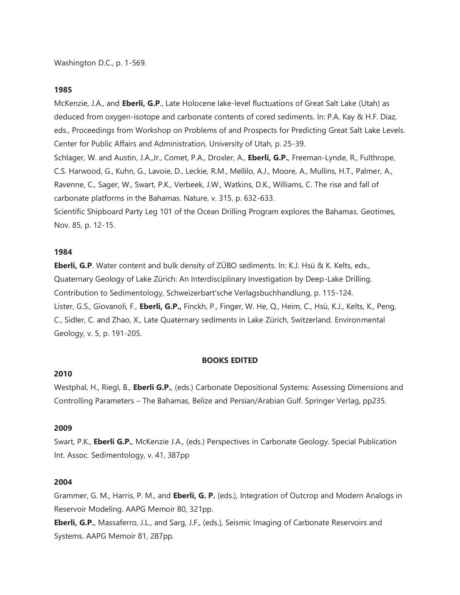McKenzie, J.A., and **Eberli, G.P**., Late Holocene lake-level fluctuations of Great Salt Lake (Utah) as deduced from oxygen-isotope and carbonate contents of cored sediments. In: P.A. Kay & H.F. Diaz, eds., Proceedings from Workshop on Problems of and Prospects for Predicting Great Salt Lake Levels. Center for Public Affairs and Administration, University of Utah, p. 25-39. Schlager, W. and Austin, J.A.,Jr., Comet, P.A., Droxler, A., **Eberli, G.P.**, Freeman-Lynde, R., Fulthrope, C.S. Harwood, G., Kuhn, G., Lavoie, D., Leckie, R.M., Mellilo, A.J., Moore, A., Mullins, H.T., Palmer, A., Ravenne, C., Sager, W., Swart, P.K., Verbeek, J.W., Watkins, D.K., Williams, C. The rise and fall of carbonate platforms in the Bahamas. Nature, v. 315, p. 632-633. Scientific Shipboard Party Leg 101 of the Ocean Drilling Program explores the Bahamas. Geotimes,

Nov. 85, p. 12-15.

### **1984**

**Eberli, G.P**. Water content and bulk density of ZÜBO sediments. In: K.J. Hsü & K. Kelts, eds., Quaternary Geology of Lake Zürich: An Interdisciplinary Investigation by Deep-Lake Drilling. Contribution to Sedimentology, Schweizerbart'sche Verlagsbuchhandlung, p. 115-124. Lister, G.S., Giovanoli, F., **Eberli, G.P.,** Finckh, P., Finger, W. He, Q., Heim, C., Hsü, K.J., Kelts, K., Peng, C., Sidler, C. and Zhao, X., Late Quaternary sediments in Lake Zürich, Switzerland. Environmental Geology, v. 5, p. 191-205.

#### **BOOKS EDITED**

#### **2010**

Westphal, H., Riegl, B., **Eberli G.P.**, (eds.) Carbonate Depositional Systems: Assessing Dimensions and Controlling Parameters – The Bahamas, Belize and Persian/Arabian Gulf. Springer Verlag, pp235.

### **2009**

Swart, P.K., **Eberli G.P.**, McKenzie J.A., (eds.) Perspectives in Carbonate Geology. Special Publication Int. Assoc. Sedimentology, v. 41, 387pp

#### **2004**

Grammer, G. M., Harris, P. M., and **Eberli, G. P.** (eds.), Integration of Outcrop and Modern Analogs in Reservoir Modeling. AAPG Memoir 80, 321pp.

**Eberli, G.P.**, Massaferro, J.L., and Sarg, J.F., (eds.), Seismic Imaging of Carbonate Reservoirs and Systems. AAPG Memoir 81, 287pp.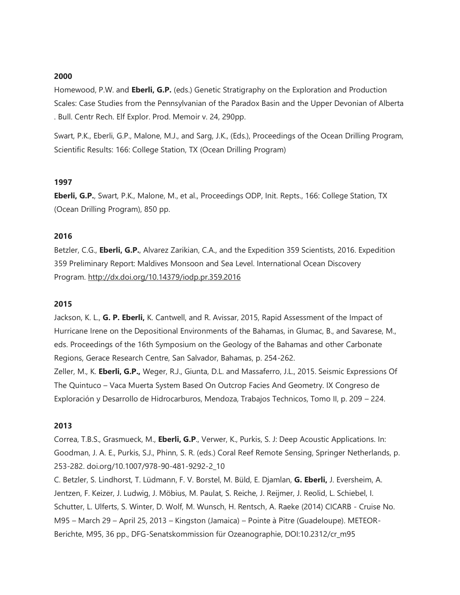Homewood, P.W. and **Eberli, G.P.** (eds.) Genetic Stratigraphy on the Exploration and Production Scales: Case Studies from the Pennsylvanian of the Paradox Basin and the Upper Devonian of Alberta . Bull. Centr Rech. Elf Explor. Prod. Memoir v. 24, 290pp.

Swart, P.K., Eberli, G.P., Malone, M.J., and Sarg, J.K., (Eds.), Proceedings of the Ocean Drilling Program, Scientific Results: 166: College Station, TX (Ocean Drilling Program)

# **1997**

**Eberli, G.P.**, Swart, P.K., Malone, M., et al., Proceedings ODP, Init. Repts., 166: College Station, TX (Ocean Drilling Program), 850 pp.

### **2016**

Betzler, C.G., **Eberli, G.P.**, Alvarez Zarikian, C.A., and the Expedition 359 Scientists, 2016. Expedition 359 Preliminary Report: Maldives Monsoon and Sea Level. International Ocean Discovery Program. [http://dx.doi.org/10.14379/iodp.pr.359.2016](http://www.rsmas.miami.edu/people/faculty-index/%E2%80%9Dhttp:/dx.doi.org/10.14379/iodp.pr.359.2016%E2%80%9D)

#### **2015**

Jackson, K. L., **G. P. Eberli,** K. Cantwell, and R. Avissar, 2015, Rapid Assessment of the Impact of Hurricane Irene on the Depositional Environments of the Bahamas, in Glumac, B., and Savarese, M., eds. Proceedings of the 16th Symposium on the Geology of the Bahamas and other Carbonate Regions, Gerace Research Centre, San Salvador, Bahamas, p. 254-262. Zeller, M., K. **Eberli, G.P.,** Weger, R.J., Giunta, D.L. and Massaferro, J.L., 2015. Seismic Expressions Of The Quintuco – Vaca Muerta System Based On Outcrop Facies And Geometry. IX Congreso de Exploración y Desarrollo de Hidrocarburos, Mendoza, Trabajos Technicos, Tomo II, p. 209 – 224.

### **2013**

Correa, T.B.S., Grasmueck, M., **Eberli, G.P**., Verwer, K., Purkis, S. J: Deep Acoustic Applications. In: Goodman, J. A. E., Purkis, S.J., Phinn, S. R. (eds.) Coral Reef Remote Sensing, Springer Netherlands, p. 253-282. doi.org/10.1007/978-90-481-9292-2\_10

C. Betzler, S. Lindhorst, T. Lüdmann, F. V. Borstel, M. Büld, E. Djamlan, **G. Eberli,** J. Eversheim, A. Jentzen, F. Keizer, J. Ludwig, J. Möbius, M. Paulat, S. Reiche, J. Reijmer, J. Reolid, L. Schiebel, I. Schutter, L. Ulferts, S. Winter, D. Wolf, M. Wunsch, H. Rentsch, A. Raeke (2014) CICARB - Cruise No. M95 – March 29 – April 25, 2013 – Kingston (Jamaica) – Pointe à Pitre (Guadeloupe). METEOR-Berichte, M95, 36 pp., DFG-Senatskommission für Ozeanographie, DOI:10.2312/cr\_m95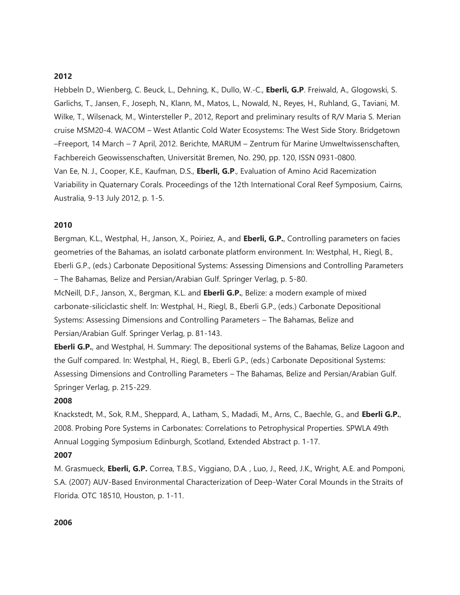Hebbeln D., Wienberg, C. Beuck, L., Dehning, K., Dullo, W.-C., **Eberli, G.P**. Freiwald, A., Glogowski, S. Garlichs, T., Jansen, F., Joseph, N., Klann, M., Matos, L., Nowald, N., Reyes, H., Ruhland, G., Taviani, M. Wilke, T., Wilsenack, M., Wintersteller P., 2012, Report and preliminary results of R/V Maria S. Merian cruise MSM20-4. WACOM – West Atlantic Cold Water Ecosystems: The West Side Story. Bridgetown –Freeport, 14 March – 7 April, 2012. Berichte, MARUM – Zentrum für Marine Umweltwissenschaften, Fachbereich Geowissenschaften, Universität Bremen, No. 290, pp. 120, ISSN 0931-0800. Van Ee, N. J., Cooper, K.E., Kaufman, D.S., **Eberli, G.P**., Evaluation of Amino Acid Racemization Variability in Quaternary Corals. Proceedings of the 12th International Coral Reef Symposium, Cairns, Australia, 9-13 July 2012, p. 1-5.

### **2010**

Bergman, K.L., Westphal, H., Janson, X., Poiriez, A., and **Eberli, G.P.**, Controlling parameters on facies geometries of the Bahamas, an isolatd carbonate platform environment. In: Westphal, H., Riegl, B., Eberli G.P., (eds.) Carbonate Depositional Systems: Assessing Dimensions and Controlling Parameters – The Bahamas, Belize and Persian/Arabian Gulf. Springer Verlag, p. 5-80.

McNeill, D.F., Janson, X., Bergman, K.L. and **Eberli G.P.**, Belize: a modern example of mixed carbonate-siliciclastic shelf. In: Westphal, H., Riegl, B., Eberli G.P., (eds.) Carbonate Depositional Systems: Assessing Dimensions and Controlling Parameters – The Bahamas, Belize and Persian/Arabian Gulf. Springer Verlag, p. 81-143.

**Eberli G.P.**, and Westphal, H. Summary: The depositional systems of the Bahamas, Belize Lagoon and the Gulf compared. In: Westphal, H., Riegl, B., Eberli G.P., (eds.) Carbonate Depositional Systems: Assessing Dimensions and Controlling Parameters – The Bahamas, Belize and Persian/Arabian Gulf. Springer Verlag, p. 215-229.

#### **2008**

Knackstedt, M., Sok, R.M., Sheppard, A., Latham, S., Madadi, M., Arns, C., Baechle, G., and **Eberli G.P.**, 2008. Probing Pore Systems in Carbonates: Correlations to Petrophysical Properties. SPWLA 49th Annual Logging Symposium Edinburgh, Scotland, Extended Abstract p. 1-17.

### **2007**

M. Grasmueck, **Eberli, G.P.** Correa, T.B.S., Viggiano, D.A. , Luo, J., Reed, J.K., Wright, A.E. and Pomponi, S.A. (2007) AUV-Based Environmental Characterization of Deep-Water Coral Mounds in the Straits of Florida. OTC 18510, Houston, p. 1-11.

#### **2006**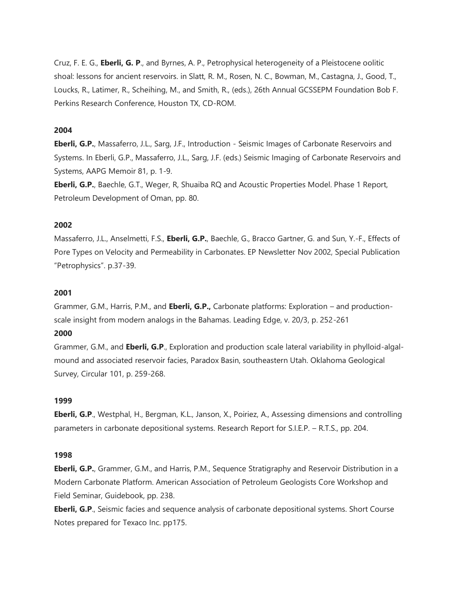Cruz, F. E. G., **Eberli, G. P**., and Byrnes, A. P., Petrophysical heterogeneity of a Pleistocene oolitic shoal: lessons for ancient reservoirs. in Slatt, R. M., Rosen, N. C., Bowman, M., Castagna, J., Good, T., Loucks, R., Latimer, R., Scheihing, M., and Smith, R., (eds.), 26th Annual GCSSEPM Foundation Bob F. Perkins Research Conference, Houston TX, CD-ROM.

### **2004**

**Eberli, G.P.**, Massaferro, J.L., Sarg, J.F., Introduction - Seismic Images of Carbonate Reservoirs and Systems. In Eberli, G.P., Massaferro, J.L., Sarg, J.F. (eds.) Seismic Imaging of Carbonate Reservoirs and Systems, AAPG Memoir 81, p. 1-9.

**Eberli, G.P.**, Baechle, G.T., Weger, R, Shuaiba RQ and Acoustic Properties Model. Phase 1 Report, Petroleum Development of Oman, pp. 80.

### **2002**

Massaferro, J.L., Anselmetti, F.S., **Eberli, G.P.**, Baechle, G., Bracco Gartner, G. and Sun, Y.-F., Effects of Pore Types on Velocity and Permeability in Carbonates. EP Newsletter Nov 2002, Special Publication "Petrophysics". p.37-39.

#### **2001**

Grammer, G.M., Harris, P.M., and **Eberli, G.P.,** Carbonate platforms: Exploration – and productionscale insight from modern analogs in the Bahamas. Leading Edge, v. 20/3, p. 252-261

### **2000**

Grammer, G.M., and **Eberli, G.P**., Exploration and production scale lateral variability in phylloid-algalmound and associated reservoir facies, Paradox Basin, southeastern Utah. Oklahoma Geological Survey, Circular 101, p. 259-268.

#### **1999**

**Eberli, G.P**., Westphal, H., Bergman, K.L., Janson, X., Poiriez, A., Assessing dimensions and controlling parameters in carbonate depositional systems. Research Report for S.I.E.P. – R.T.S., pp. 204.

### **1998**

**Eberli, G.P.**, Grammer, G.M., and Harris, P.M., Sequence Stratigraphy and Reservoir Distribution in a Modern Carbonate Platform. American Association of Petroleum Geologists Core Workshop and Field Seminar, Guidebook, pp. 238.

**Eberli, G.P**., Seismic facies and sequence analysis of carbonate depositional systems. Short Course Notes prepared for Texaco Inc. pp175.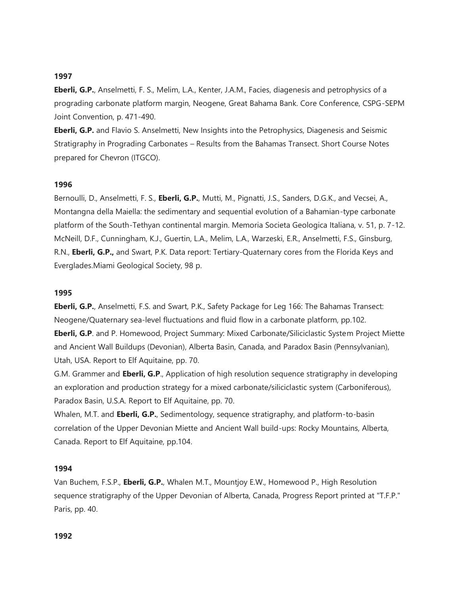**Eberli, G.P.**, Anselmetti, F. S., Melim, L.A., Kenter, J.A.M., Facies, diagenesis and petrophysics of a prograding carbonate platform margin, Neogene, Great Bahama Bank. Core Conference, CSPG-SEPM Joint Convention, p. 471-490.

**Eberli, G.P.** and Flavio S. Anselmetti, New Insights into the Petrophysics, Diagenesis and Seismic Stratigraphy in Prograding Carbonates – Results from the Bahamas Transect. Short Course Notes prepared for Chevron (ITGCO).

#### **1996**

Bernoulli, D., Anselmetti, F. S., **Eberli, G.P.**, Mutti, M., Pignatti, J.S., Sanders, D.G.K., and Vecsei, A., Montangna della Maiella: the sedimentary and sequential evolution of a Bahamian-type carbonate platform of the South-Tethyan continental margin. Memoria Societa Geologica Italiana, v. 51, p. 7-12. McNeill, D.F., Cunningham, K.J., Guertin, L.A., Melim, L.A., Warzeski, E.R., Anselmetti, F.S., Ginsburg, R.N., **Eberli, G.P.,** and Swart, P.K. Data report: Tertiary-Quaternary cores from the Florida Keys and Everglades.Miami Geological Society, 98 p.

#### **1995**

**Eberli, G.P.**, Anselmetti, F.S. and Swart, P.K., Safety Package for Leg 166: The Bahamas Transect: Neogene/Quaternary sea-level fluctuations and fluid flow in a carbonate platform, pp.102. **Eberli, G.P**. and P. Homewood, Project Summary: Mixed Carbonate/Siliciclastic System Project Miette and Ancient Wall Buildups (Devonian), Alberta Basin, Canada, and Paradox Basin (Pennsylvanian), Utah, USA. Report to Elf Aquitaine, pp. 70.

G.M. Grammer and **Eberli, G.P**., Application of high resolution sequence stratigraphy in developing an exploration and production strategy for a mixed carbonate/siliciclastic system (Carboniferous),

Paradox Basin, U.S.A. Report to Elf Aquitaine, pp. 70.

Whalen, M.T. and **Eberli, G.P.**, Sedimentology, sequence stratigraphy, and platform-to-basin correlation of the Upper Devonian Miette and Ancient Wall build-ups: Rocky Mountains, Alberta, Canada. Report to Elf Aquitaine, pp.104.

#### **1994**

Van Buchem, F.S.P., **Eberli, G.P.**, Whalen M.T., Mountjoy E.W., Homewood P., High Resolution sequence stratigraphy of the Upper Devonian of Alberta, Canada, Progress Report printed at "T.F.P." Paris, pp. 40.

#### **1992**